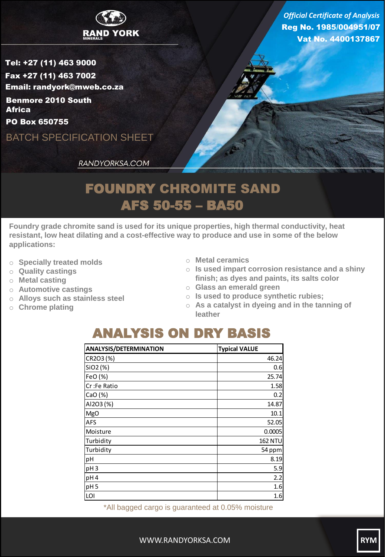

Reg No. 1985/004951/07 Vat No. 4400137867 *Official Certificate of Analysis*

Tel: +27 (11) 463 9000 Fax +27 (11) 463 7002 Email: randyork@mweb.co.za Benmore 2010 South **Africa** 

PO Box 650755

BATCH SPECIFICATION SHEET

RANDYORKSA.COM

## FOUNDRY CHROMITE SAND AFS 50-55 – BA50

**Foundry grade chromite sand is used for its unique properties, high thermal conductivity, heat resistant, low heat dilating and a cost-effective way to produce and use in some of the below applications:**

- o **Specially treated molds**
- o **Quality castings**
- o **Metal casting**
- o **Automotive castings**
- o **Alloys such as stainless steel**
- o **Chrome plating**
- o **Metal ceramics**
- o **Is used impart corrosion resistance and a shiny finish; as dyes and paints, its salts color**
- o **Glass an emerald green**
- o **Is used to produce synthetic rubies;**
- o **As a catalyst in dyeing and in the tanning of leather**

## ANALYSIS ON DRY BASIS

| <b>ANALYSIS/DETERMINATION</b> | <b>Typical VALUE</b> |
|-------------------------------|----------------------|
| CR2O3 (%)                     | 46.24                |
| SiO2 (%)                      | 0.6                  |
| FeO (%)                       | 25.74                |
| Cr:Fe Ratio                   | 1.58                 |
| CaO(%)                        | 0.2                  |
| AI2O3 (%)                     | 14.87                |
| <b>MgO</b>                    | 10.1                 |
| <b>AFS</b>                    | 52.05                |
| Moisture                      | 0.0005               |
| Turbidity                     | <b>162 NTU</b>       |
| Turbidity                     | 54 ppm               |
| pH                            | 8.19                 |
| pH <sub>3</sub>               | 5.9                  |
| pH4                           | 2.2                  |
| pH <sub>5</sub>               | 1.6                  |
| LOI                           | 1.6                  |

\*All bagged cargo is guaranteed at 0.05% moisture